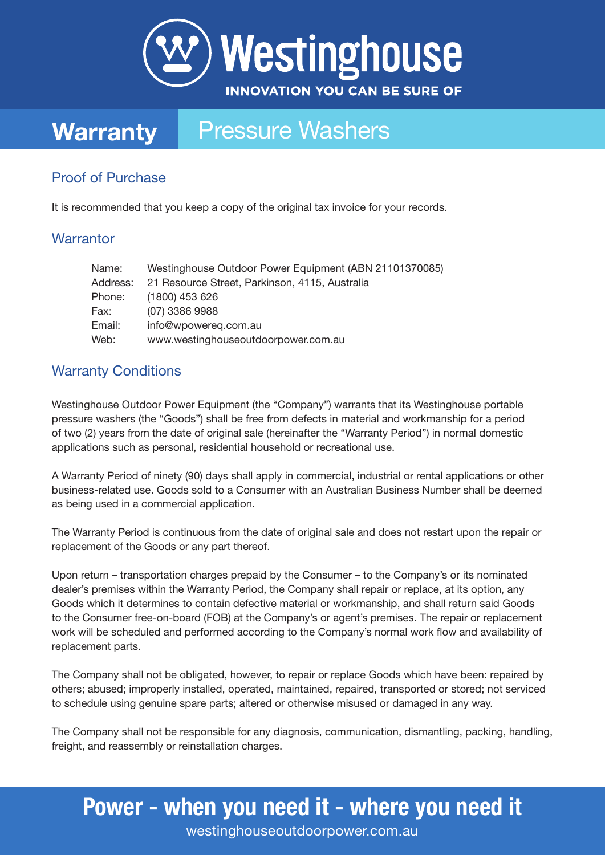

## **Warranty** Pressure Washers

### Proof of Purchase

It is recommended that you keep a copy of the original tax invoice for your records.

#### **Warrantor**

| Name:    | Westinghouse Outdoor Power Equipment (ABN 21101370085) |
|----------|--------------------------------------------------------|
| Address: | 21 Resource Street, Parkinson, 4115, Australia         |
| Phone:   | $(1800)$ 453 626                                       |
| Fax:     | (07) 3386 9988                                         |
| Email:   | info@wpowereq.com.au                                   |
| Web:     | www.westinghouseoutdoorpower.com.au                    |

#### Warranty Conditions

Westinghouse Outdoor Power Equipment (the "Company") warrants that its Westinghouse portable pressure washers (the "Goods") shall be free from defects in material and workmanship for a period of two (2) years from the date of original sale (hereinafter the "Warranty Period") in normal domestic applications such as personal, residential household or recreational use.

A Warranty Period of ninety (90) days shall apply in commercial, industrial or rental applications or other business-related use. Goods sold to a Consumer with an Australian Business Number shall be deemed as being used in a commercial application.

The Warranty Period is continuous from the date of original sale and does not restart upon the repair or replacement of the Goods or any part thereof.

Upon return – transportation charges prepaid by the Consumer – to the Company's or its nominated dealer's premises within the Warranty Period, the Company shall repair or replace, at its option, any Goods which it determines to contain defective material or workmanship, and shall return said Goods to the Consumer free-on-board (FOB) at the Company's or agent's premises. The repair or replacement work will be scheduled and performed according to the Company's normal work flow and availability of replacement parts.

The Company shall not be obligated, however, to repair or replace Goods which have been: repaired by others; abused; improperly installed, operated, maintained, repaired, transported or stored; not serviced to schedule using genuine spare parts; altered or otherwise misused or damaged in any way.

The Company shall not be responsible for any diagnosis, communication, dismantling, packing, handling, freight, and reassembly or reinstallation charges.

### Power - when you need it - where you need it

westinghouseoutdoorpower.com.au